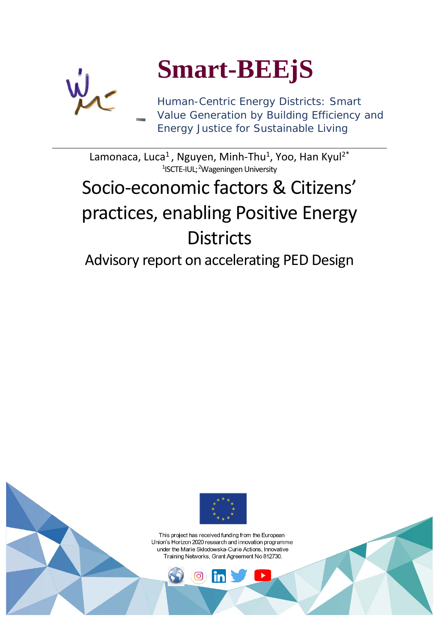

# **Smart-BEEjS**

Human-Centric Energy Districts: Smart Value Generation by Building Efficiency and Energy Justice for Sustainable Living

Lamonaca, Luca<sup>1</sup>, Nguyen, Minh-Thu<sup>1</sup>, Yoo, Han Kyul<sup>2\*</sup> <sup>1</sup>ISCTE-IUL; <sup>2</sup>Wageningen University

## Socio-economic factors & Citizens' practices, enabling Positive Energy **Districts**

Advisory report on accelerating PED Design



This project has received funding from the European Union's Horizon 2020 research and innovation programme under the Marie Skłodowska-Curie Actions, Innovative Training Networks, Grant Agreement No 812730.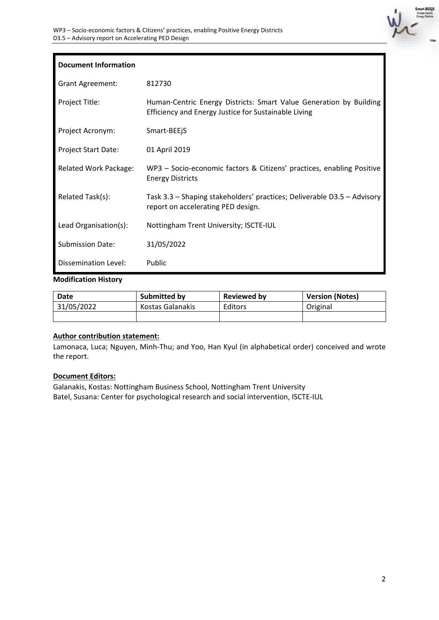

| <b>Document Information</b>  |                                                                                                                            |
|------------------------------|----------------------------------------------------------------------------------------------------------------------------|
| <b>Grant Agreement:</b>      | 812730                                                                                                                     |
| Project Title:               | Human-Centric Energy Districts: Smart Value Generation by Building<br>Efficiency and Energy Justice for Sustainable Living |
| Project Acronym:             | Smart-BEEjS                                                                                                                |
| <b>Project Start Date:</b>   | 01 April 2019                                                                                                              |
| <b>Related Work Package:</b> | WP3 - Socio-economic factors & Citizens' practices, enabling Positive<br><b>Energy Districts</b>                           |
| Related Task(s):             | Task 3.3 - Shaping stakeholders' practices; Deliverable D3.5 - Advisory<br>report on accelerating PED design.              |
| Lead Organisation(s):        | Nottingham Trent University; ISCTE-IUL                                                                                     |
| <b>Submission Date:</b>      | 31/05/2022                                                                                                                 |
| Dissemination Level:         | Public                                                                                                                     |

#### **Modification History**

| Date       | Submitted by     | <b>Reviewed by</b> | <b>Version (Notes)</b> |  |
|------------|------------------|--------------------|------------------------|--|
| 31/05/2022 | Kostas Galanakis | Editors            | Original               |  |
|            |                  |                    |                        |  |

#### **Author contribution statement:**

Lamonaca, Luca; Nguyen, Minh-Thu; and Yoo, Han Kyul (in alphabetical order) conceived and wrote the report.

#### **Document Editors:**

Galanakis, Kostas: Nottingham Business School, Nottingham Trent University Batel, Susana: Center for psychological research and social intervention, ISCTE-IUL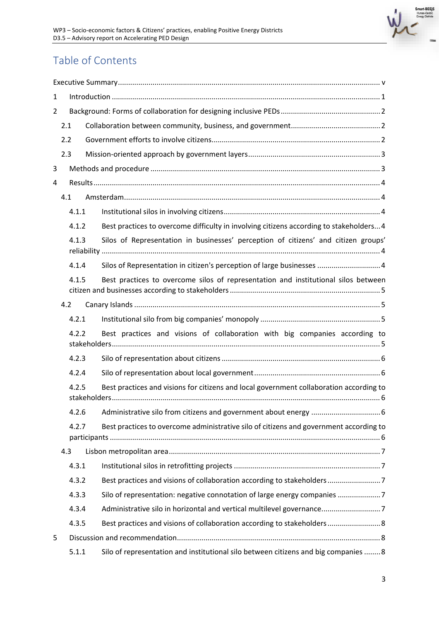

## Table of Contents

| 1              |       |  |                                                                                         |  |  |
|----------------|-------|--|-----------------------------------------------------------------------------------------|--|--|
| $\overline{2}$ |       |  |                                                                                         |  |  |
| 2.1            |       |  |                                                                                         |  |  |
| 2.2            |       |  |                                                                                         |  |  |
|                | 2.3   |  |                                                                                         |  |  |
| 3              |       |  |                                                                                         |  |  |
| 4              |       |  |                                                                                         |  |  |
|                | 4.1   |  |                                                                                         |  |  |
|                | 4.1.1 |  |                                                                                         |  |  |
|                | 4.1.2 |  | Best practices to overcome difficulty in involving citizens according to stakeholders 4 |  |  |
|                | 4.1.3 |  | Silos of Representation in businesses' perception of citizens' and citizen groups'      |  |  |
|                | 4.1.4 |  | Silos of Representation in citizen's perception of large businesses  4                  |  |  |
|                | 4.1.5 |  | Best practices to overcome silos of representation and institutional silos between      |  |  |
|                | 4.2   |  |                                                                                         |  |  |
|                | 4.2.1 |  |                                                                                         |  |  |
|                | 4.2.2 |  | Best practices and visions of collaboration with big companies according to             |  |  |
|                | 4.2.3 |  |                                                                                         |  |  |
|                | 4.2.4 |  |                                                                                         |  |  |
|                | 4.2.5 |  | Best practices and visions for citizens and local government collaboration according to |  |  |
|                | 4.2.6 |  |                                                                                         |  |  |
|                | 4.2.7 |  | Best practices to overcome administrative silo of citizens and government according to  |  |  |
|                |       |  |                                                                                         |  |  |
|                | 4.3   |  |                                                                                         |  |  |
|                | 4.3.1 |  |                                                                                         |  |  |
|                | 4.3.2 |  |                                                                                         |  |  |
|                | 4.3.3 |  | Silo of representation: negative connotation of large energy companies 7                |  |  |
|                | 4.3.4 |  | Administrative silo in horizontal and vertical multilevel governance7                   |  |  |
|                | 4.3.5 |  | Best practices and visions of collaboration according to stakeholders 8                 |  |  |
| 5              |       |  |                                                                                         |  |  |
|                | 5.1.1 |  | Silo of representation and institutional silo between citizens and big companies  8     |  |  |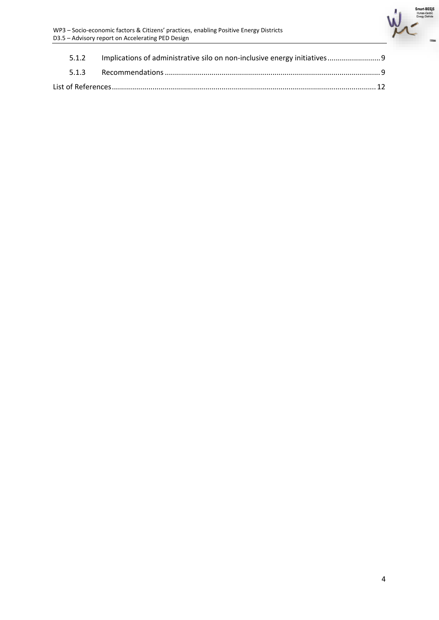

| 5.1.2 | Implications of administrative silo on non-inclusive energy initiatives 9 |  |  |  |
|-------|---------------------------------------------------------------------------|--|--|--|
|       |                                                                           |  |  |  |
|       |                                                                           |  |  |  |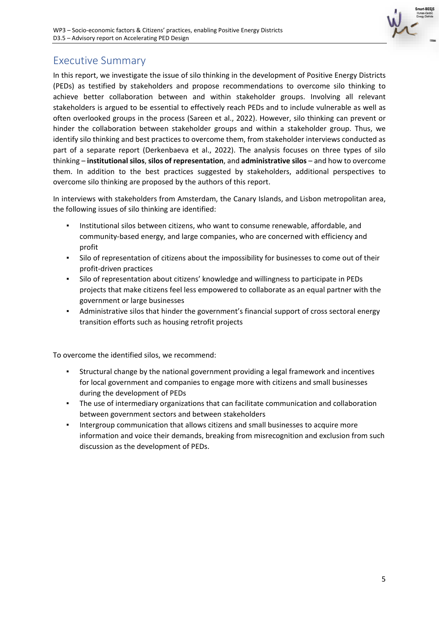

## <span id="page-4-0"></span>Executive Summary

In this report, we investigate the issue of silo thinking in the development of Positive Energy Districts (PEDs) as testified by stakeholders and propose recommendations to overcome silo thinking to achieve better collaboration between and within stakeholder groups. Involving all relevant stakeholders is argued to be essential to effectively reach PEDs and to include vulnerable as well as often overlooked groups in the process (Sareen et al., 2022). However, silo thinking can prevent or hinder the collaboration between stakeholder groups and within a stakeholder group. Thus, we identify silo thinking and best practices to overcome them, from stakeholder interviews conducted as part of a separate report (Derkenbaeva et al., 2022). The analysis focuses on three types of silo thinking – **institutional silos**, **silos of representation**, and **administrative silos** – and how to overcome them. In addition to the best practices suggested by stakeholders, additional perspectives to overcome silo thinking are proposed by the authors of this report.

In interviews with stakeholders from Amsterdam, the Canary Islands, and Lisbon metropolitan area, the following issues of silo thinking are identified:

- Institutional silos between citizens, who want to consume renewable, affordable, and community-based energy, and large companies, who are concerned with efficiency and profit
- Silo of representation of citizens about the impossibility for businesses to come out of their profit-driven practices
- Silo of representation about citizens' knowledge and willingness to participate in PEDs projects that make citizens feel less empowered to collaborate as an equal partner with the government or large businesses
- Administrative silos that hinder the government's financial support of cross sectoral energy transition efforts such as housing retrofit projects

To overcome the identified silos, we recommend:

- Structural change by the national government providing a legal framework and incentives for local government and companies to engage more with citizens and small businesses during the development of PEDs
- The use of intermediary organizations that can facilitate communication and collaboration between government sectors and between stakeholders
- **·** Intergroup communication that allows citizens and small businesses to acquire more information and voice their demands, breaking from misrecognition and exclusion from such discussion as the development of PEDs.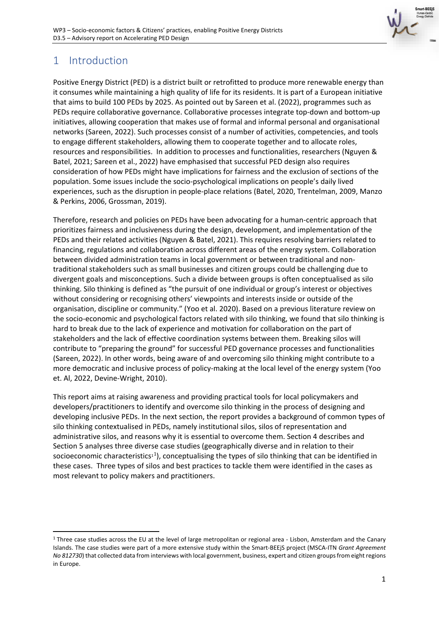

## <span id="page-5-0"></span>1 Introduction

Positive Energy District (PED) is a district built or retrofitted to produce more renewable energy than it consumes while maintaining a high quality of life for its residents. It is part of a European initiative that aims to build 100 PEDs by 2025. As pointed out by Sareen et al. (2022), programmes such as PEDs require collaborative governance. Collaborative processes integrate top-down and bottom-up initiatives, allowing cooperation that makes use of formal and informal personal and organisational networks (Sareen, 2022). Such processes consist of a number of activities, competencies, and tools to engage different stakeholders, allowing them to cooperate together and to allocate roles, resources and responsibilities. In addition to processes and functionalities, researchers (Nguyen & Batel, 2021; Sareen et al., 2022) have emphasised that successful PED design also requires consideration of how PEDs might have implications for fairness and the exclusion of sections of the population. Some issues include the socio-psychological implications on people's daily lived experiences, such as the disruption in people-place relations (Batel, 2020, Trentelman, 2009, Manzo & Perkins, 2006, Grossman, 2019).

Therefore, research and policies on PEDs have been advocating for a human-centric approach that prioritizes fairness and inclusiveness during the design, development, and implementation of the PEDs and their related activities (Nguyen & Batel, 2021). This requires resolving barriers related to financing, regulations and collaboration across different areas of the energy system. Collaboration between divided administration teams in local government or between traditional and nontraditional stakeholders such as small businesses and citizen groups could be challenging due to divergent goals and misconceptions. Such a divide between groups is often conceptualised as silo thinking. Silo thinking is defined as "the pursuit of one individual or group's interest or objectives without considering or recognising others' viewpoints and interests inside or outside of the organisation, discipline or community." (Yoo et al. 2020). Based on a previous literature review on the socio-economic and psychological factors related with silo thinking, we found that silo thinking is hard to break due to the lack of experience and motivation for collaboration on the part of stakeholders and the lack of effective coordination systems between them. Breaking silos will contribute to "preparing the ground" for successful PED governance processes and functionalities (Sareen, 2022). In other words, being aware of and overcoming silo thinking might contribute to a more democratic and inclusive process of policy-making at the local level of the energy system (Yoo et. Al, 2022, Devine-Wright, 2010).

This report aims at raising awareness and providing practical tools for local policymakers and developers/practitioners to identify and overcome silo thinking in the process of designing and developing inclusive PEDs. In the next section, the report provides a background of common types of silo thinking contextualised in PEDs, namely institutional silos, silos of representation and administrative silos, and reasons why it is essential to overcome them. Section 4 describes and Section 5 analyses three diverse case studies (geographically diverse and in relation to their socioeconomic characteristics<sup>[1](#page-5-1)</sup>), conceptualising the types of silo thinking that can be identified in these cases. Three types of silos and best practices to tackle them were identified in the cases as most relevant to policy makers and practitioners.

<span id="page-5-1"></span> $1$  Three case studies across the EU at the level of large metropolitan or regional area - Lisbon. Amsterdam and the Canary Islands. The case studies were part of a more extensive study within the Smart-BEEjS project (MSCA-ITN *Grant Agreement No 812730*) that collected data from interviews with local government, business, expert and citizen groups from eight regions in Europe.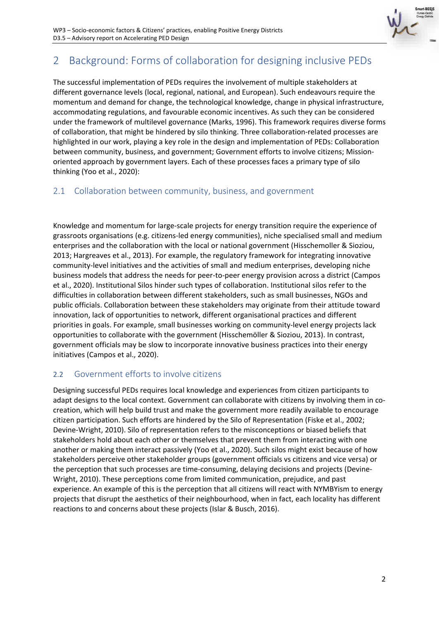

## <span id="page-6-0"></span>2 Background: Forms of collaboration for designing inclusive PEDs

The successful implementation of PEDs requires the involvement of multiple stakeholders at different governance levels (local, regional, national, and European). Such endeavours require the momentum and demand for change, the technological knowledge, change in physical infrastructure, accommodating regulations, and favourable economic incentives. As such they can be considered under the framework of multilevel governance (Marks, 1996). This framework requires diverse forms of collaboration, that might be hindered by silo thinking. Three collaboration-related processes are highlighted in our work, playing a key role in the design and implementation of PEDs: Collaboration between community, business, and government; Government efforts to involve citizens; Missionoriented approach by government layers. Each of these processes faces a primary type of silo thinking (Yoo et al., 2020):

#### <span id="page-6-1"></span>2.1 Collaboration between community, business, and government

Knowledge and momentum for large-scale projects for energy transition require the experience of grassroots organisations (e.g. citizens-led energy communities), niche specialised small and medium enterprises and the collaboration with the local or national government (Hisschemoller & Sioziou, 2013; Hargreaves et al., 2013). For example, the regulatory framework for integrating innovative community-level initiatives and the activities of small and medium enterprises, developing niche business models that address the needs for peer-to-peer energy provision across a district (Campos et al., 2020). Institutional Silos hinder such types of collaboration. Institutional silos refer to the difficulties in collaboration between different stakeholders, such as small businesses, NGOs and public officials. Collaboration between these stakeholders may originate from their attitude toward innovation, lack of opportunities to network, different organisational practices and different priorities in goals. For example, small businesses working on community-level energy projects lack opportunities to collaborate with the government (Hisschemöller & Sioziou, 2013). In contrast, government officials may be slow to incorporate innovative business practices into their energy initiatives (Campos et al., 2020).

#### <span id="page-6-2"></span>2.2 Government efforts to involve citizens

Designing successful PEDs requires local knowledge and experiences from citizen participants to adapt designs to the local context. Government can collaborate with citizens by involving them in cocreation, which will help build trust and make the government more readily available to encourage citizen participation. Such efforts are hindered by the Silo of Representation (Fiske et al., 2002; Devine-Wright, 2010). Silo of representation refers to the misconceptions or biased beliefs that stakeholders hold about each other or themselves that prevent them from interacting with one another or making them interact passively (Yoo et al., 2020). Such silos might exist because of how stakeholders perceive other stakeholder groups (government officials vs citizens and vice versa) or the perception that such processes are time-consuming, delaying decisions and projects (Devine-Wright, 2010). These perceptions come from limited communication, prejudice, and past experience. An example of this is the perception that all citizens will react with NYMBYism to energy projects that disrupt the aesthetics of their neighbourhood, when in fact, each locality has different reactions to and concerns about these projects (Islar & Busch, 2016).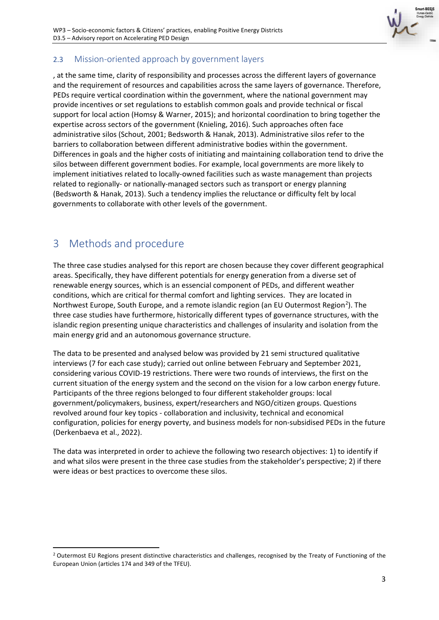

## <span id="page-7-0"></span>2.3 Mission-oriented approach by government layers

, at the same time, clarity of responsibility and processes across the different layers of governance and the requirement of resources and capabilities across the same layers of governance. Therefore, PEDs require vertical coordination within the government, where the national government may provide incentives or set regulations to establish common goals and provide technical or fiscal support for local action (Homsy & Warner, 2015); and horizontal coordination to bring together the expertise across sectors of the government (Knieling, 2016). Such approaches often face administrative silos (Schout, 2001; Bedsworth & Hanak, 2013). Administrative silos refer to the barriers to collaboration between different administrative bodies within the government. Differences in goals and the higher costs of initiating and maintaining collaboration tend to drive the silos between different government bodies. For example, local governments are more likely to implement initiatives related to locally-owned facilities such as waste management than projects related to regionally- or nationally-managed sectors such as transport or energy planning (Bedsworth & Hanak, 2013). Such a tendency implies the reluctance or difficulty felt by local governments to collaborate with other levels of the government.

## <span id="page-7-1"></span>3 Methods and procedure

The three case studies analysed for this report are chosen because they cover different geographical areas. Specifically, they have different potentials for energy generation from a diverse set of renewable energy sources, which is an essencial component of PEDs, and different weather conditions, which are critical for thermal comfort and lighting services. They are located in Northwest Europe, South Europe, and a remote islandic region (an EU Outermost Region<sup>[2](#page-7-2)</sup>). The three case studies have furthermore, historically different types of governance structures, with the islandic region presenting unique characteristics and challenges of insularity and isolation from the main energy grid and an autonomous governance structure.

The data to be presented and analysed below was provided by 21 semi structured qualitative interviews (7 for each case study); carried out online between February and September 2021, considering various COVID-19 restrictions. There were two rounds of interviews, the first on the current situation of the energy system and the second on the vision for a low carbon energy future. Participants of the three regions belonged to four different stakeholder groups: local government/policymakers, business, expert/researchers and NGO/citizen groups. Questions revolved around four key topics - collaboration and inclusivity, technical and economical configuration, policies for energy poverty, and business models for non-subsidised PEDs in the future (Derkenbaeva et al., 2022).

The data was interpreted in order to achieve the following two research objectives: 1) to identify if and what silos were present in the three case studies from the stakeholder's perspective; 2) if there were ideas or best practices to overcome these silos.

<span id="page-7-2"></span><sup>&</sup>lt;sup>2</sup> Outermost EU Regions present distinctive characteristics and challenges, recognised by the Treaty of Functioning of the European Union (articles 174 and 349 of the TFEU).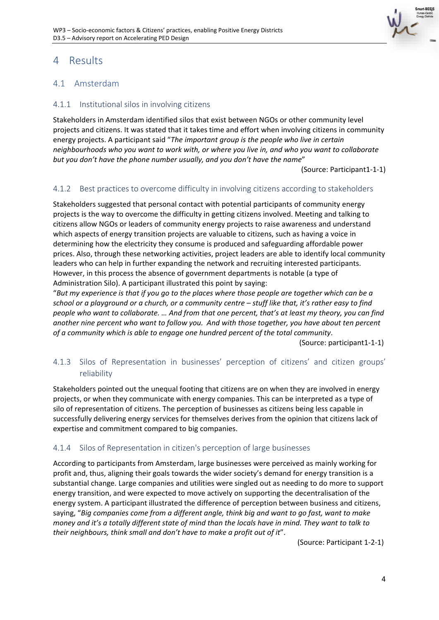

## <span id="page-8-0"></span>4 Results

#### <span id="page-8-1"></span>4.1 Amsterdam

#### <span id="page-8-2"></span>4.1.1 Institutional silos in involving citizens

Stakeholders in Amsterdam identified silos that exist between NGOs or other community level projects and citizens. It was stated that it takes time and effort when involving citizens in community energy projects. A participant said "*The important group is the people who live in certain neighbourhoods who you want to work with, or where you live in, and who you want to collaborate but you don't have the phone number usually, and you don't have the name*"

(Source: Participant1-1-1)

#### <span id="page-8-3"></span>4.1.2 Best practices to overcome difficulty in involving citizens according to stakeholders

Stakeholders suggested that personal contact with potential participants of community energy projects is the way to overcome the difficulty in getting citizens involved. Meeting and talking to citizens allow NGOs or leaders of community energy projects to raise awareness and understand which aspects of energy transition projects are valuable to citizens, such as having a voice in determining how the electricity they consume is produced and safeguarding affordable power prices. Also, through these networking activities, project leaders are able to identify local community leaders who can help in further expanding the network and recruiting interested participants. However, in this process the absence of government departments is notable (a type of Administration Silo). A participant illustrated this point by saying:

"*But my experience is that if you go to the places where those people are together which can be a school or a playground or a church, or a community centre – stuff like that, it's rather easy to find people who want to collaborate. … And from that one percent, that's at least my theory, you can find another nine percent who want to follow you. And with those together, you have about ten percent of a community which is able to engage one hundred percent of the total community*.

(Source: participant1-1-1)

#### <span id="page-8-4"></span>4.1.3 Silos of Representation in businesses' perception of citizens' and citizen groups' reliability

Stakeholders pointed out the unequal footing that citizens are on when they are involved in energy projects, or when they communicate with energy companies. This can be interpreted as a type of silo of representation of citizens. The perception of businesses as citizens being less capable in successfully delivering energy services for themselves derives from the opinion that citizens lack of expertise and commitment compared to big companies.

#### <span id="page-8-5"></span>4.1.4 Silos of Representation in citizen's perception of large businesses

According to participants from Amsterdam, large businesses were perceived as mainly working for profit and, thus, aligning their goals towards the wider society's demand for energy transition is a substantial change. Large companies and utilities were singled out as needing to do more to support energy transition, and were expected to move actively on supporting the decentralisation of the energy system. A participant illustrated the difference of perception between business and citizens, saying, "*Big companies come from a different angle, think big and want to go fast, want to make money and it's a totally different state of mind than the locals have in mind. They want to talk to their neighbours, think small and don't have to make a profit out of it*".

(Source: Participant 1-2-1)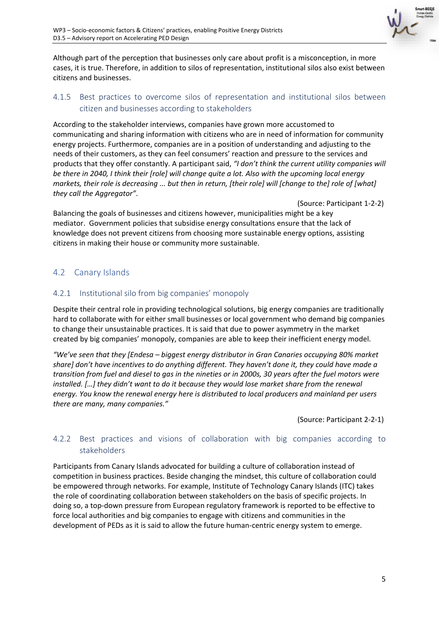

Although part of the perception that businesses only care about profit is a misconception, in more cases, it is true. Therefore, in addition to silos of representation, institutional silos also exist between citizens and businesses.

#### <span id="page-9-0"></span>4.1.5 Best practices to overcome silos of representation and institutional silos between citizen and businesses according to stakeholders

According to the stakeholder interviews, companies have grown more accustomed to communicating and sharing information with citizens who are in need of information for community energy projects. Furthermore, companies are in a position of understanding and adjusting to the needs of their customers, as they can feel consumers' reaction and pressure to the services and products that they offer constantly. A participant said, *"I don't think the current utility companies will be there in 2040, I think their [role] will change quite a lot. Also with the upcoming local energy markets, their role is decreasing ... but then in return, [their role] will [change to the] role of [what] they call the Aggregator"*.

(Source: Participant 1-2-2)

Balancing the goals of businesses and citizens however, municipalities might be a key mediator. Government policies that subsidise energy consultations ensure that the lack of knowledge does not prevent citizens from choosing more sustainable energy options, assisting citizens in making their house or community more sustainable.

#### <span id="page-9-1"></span>4.2 Canary Islands

#### <span id="page-9-2"></span>4.2.1 Institutional silo from big companies' monopoly

Despite their central role in providing technological solutions, big energy companies are traditionally hard to collaborate with for either small businesses or local government who demand big companies to change their unsustainable practices. It is said that due to power asymmetry in the market created by big companies' monopoly, companies are able to keep their inefficient energy model.

*"We've seen that they [Endesa – biggest energy distributor in Gran Canaries occupying 80% market share] don't have incentives to do anything different. They haven't done it, they could have made a transition from fuel and diesel to gas in the nineties or in 2000s, 30 years after the fuel motors were installed. […] they didn't want to do it because they would lose market share from the renewal energy. You know the renewal energy here is distributed to local producers and mainland per users there are many, many companies."*

(Source: Participant 2-2-1)

#### <span id="page-9-3"></span>4.2.2 Best practices and visions of collaboration with big companies according to stakeholders

Participants from Canary Islands advocated for building a culture of collaboration instead of competition in business practices. Beside changing the mindset, this culture of collaboration could be empowered through networks. For example, Institute of Technology Canary Islands (ITC) takes the role of coordinating collaboration between stakeholders on the basis of specific projects. In doing so, a top-down pressure from European regulatory framework is reported to be effective to force local authorities and big companies to engage with citizens and communities in the development of PEDs as it is said to allow the future human-centric energy system to emerge.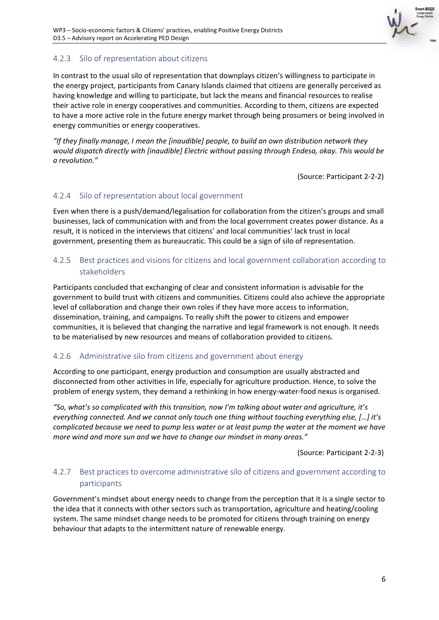

#### <span id="page-10-0"></span>4.2.3 Silo of representation about citizens

In contrast to the usual silo of representation that downplays citizen's willingness to participate in the energy project, participants from Canary Islands claimed that citizens are generally perceived as having knowledge and willing to participate, but lack the means and financial resources to realise their active role in energy cooperatives and communities. According to them, citizens are expected to have a more active role in the future energy market through being prosumers or being involved in energy communities or energy cooperatives.

*"If they finally manage, I mean the [inaudible] people, to build an own distribution network they would dispatch directly with [inaudible] Electric without passing through Endesa, okay. This would be a revolution."*

(Source: Participant 2-2-2)

#### <span id="page-10-1"></span>4.2.4 Silo of representation about local government

Even when there is a push/demand/legalisation for collaboration from the citizen's groups and small businesses, lack of communication with and from the local government creates power distance. As a result, it is noticed in the interviews that citizens' and local communities' lack trust in local government, presenting them as bureaucratic. This could be a sign of silo of representation.

#### <span id="page-10-2"></span>4.2.5 Best practices and visions for citizens and local government collaboration according to stakeholders

Participants concluded that exchanging of clear and consistent information is advisable for the government to build trust with citizens and communities. Citizens could also achieve the appropriate level of collaboration and change their own roles if they have more access to information, dissemination, training, and campaigns*.* To really shift the power to citizens and empower communities, it is believed that changing the narrative and legal framework is not enough. It needs to be materialised by new resources and means of collaboration provided to citizens.

#### <span id="page-10-3"></span>4.2.6 Administrative silo from citizens and government about energy

According to one participant, energy production and consumption are usually abstracted and disconnected from other activities in life, especially for agriculture production. Hence, to solve the problem of energy system, they demand a rethinking in how energy-water-food nexus is organised.

*"So, what's so complicated with this transition, now I'm talking about water and agriculture, it's everything connected. And we cannot only touch one thing without touching everything else, […] it's complicated because we need to pump less water or at least pump the water at the moment we have more wind and more sun and we have to change our mindset in many areas."*

(Source: Participant 2-2-3)

#### <span id="page-10-4"></span>4.2.7 Best practices to overcome administrative silo of citizens and government according to participants

Government's mindset about energy needs to change from the perception that it is a single sector to the idea that it connects with other sectors such as transportation, agriculture and heating/cooling system. The same mindset change needs to be promoted for citizens through training on energy behaviour that adapts to the intermittent nature of renewable energy.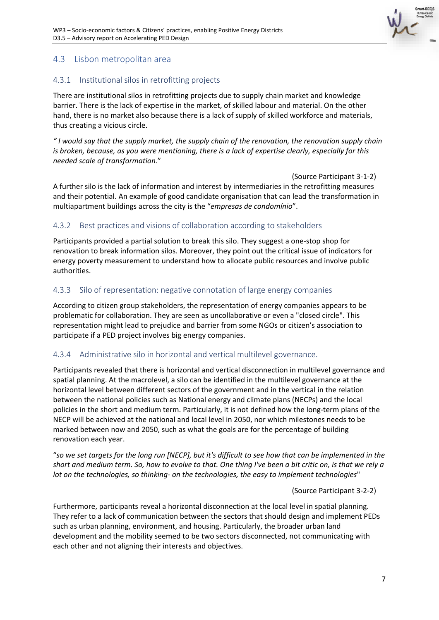

#### <span id="page-11-0"></span>4.3 Lisbon metropolitan area

#### <span id="page-11-1"></span>4.3.1 Institutional silos in retrofitting projects

There are institutional silos in retrofitting projects due to supply chain market and knowledge barrier. There is the lack of expertise in the market, of skilled labour and material. On the other hand, there is no market also because there is a lack of supply of skilled workforce and materials, thus creating a vicious circle.

*" I would say that the supply market, the supply chain of the renovation, the renovation supply chain is broken, because, as you were mentioning, there is a lack of expertise clearly, especially for this needed scale of transformation.*"

(Source Participant 3-1-2) A further silo is the lack of information and interest by intermediaries in the retrofitting measures and their potential. An example of good candidate organisation that can lead the transformation in multiapartment buildings across the city is the "*empresas de condomínio*".

#### <span id="page-11-2"></span>4.3.2 Best practices and visions of collaboration according to stakeholders

Participants provided a partial solution to break this silo. They suggest a one-stop shop for renovation to break information silos. Moreover, they point out the critical issue of indicators for energy poverty measurement to understand how to allocate public resources and involve public authorities.

#### <span id="page-11-3"></span>4.3.3 Silo of representation: negative connotation of large energy companies

According to citizen group stakeholders, the representation of energy companies appears to be problematic for collaboration. They are seen as uncollaborative or even a "closed circle". This representation might lead to prejudice and barrier from some NGOs or citizen's association to participate if a PED project involves big energy companies.

#### <span id="page-11-4"></span>4.3.4 Administrative silo in horizontal and vertical multilevel governance.

Participants revealed that there is horizontal and vertical disconnection in multilevel governance and spatial planning. At the macrolevel, a silo can be identified in the multilevel governance at the horizontal level between different sectors of the government and in the vertical in the relation between the national policies such as National energy and climate plans (NECPs) and the local policies in the short and medium term. Particularly, it is not defined how the long-term plans of the NECP will be achieved at the national and local level in 2050, nor which milestones needs to be marked between now and 2050, such as what the goals are for the percentage of building renovation each year.

"*so we set targets for the long run [NECP], but it's difficult to see how that can be implemented in the short and medium term. So, how to evolve to that. One thing I've been a bit critic on, is that we rely a lot on the technologies, so thinking- on the technologies, the easy to implement technologies*"

(Source Participant 3-2-2)

Furthermore, participants reveal a horizontal disconnection at the local level in spatial planning. They refer to a lack of communication between the sectors that should design and implement PEDs such as urban planning, environment, and housing. Particularly, the broader urban land development and the mobility seemed to be two sectors disconnected, not communicating with each other and not aligning their interests and objectives.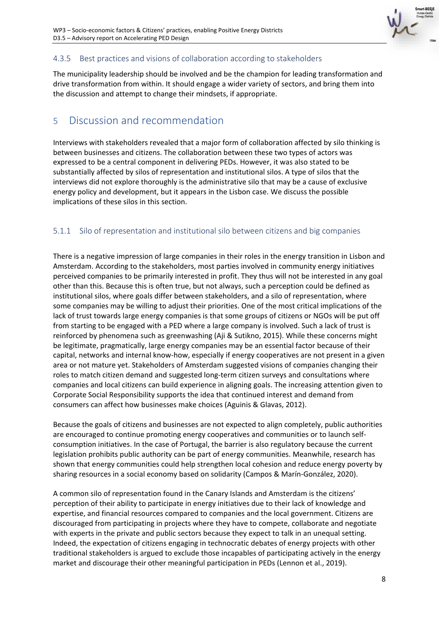

## <span id="page-12-0"></span>4.3.5 Best practices and visions of collaboration according to stakeholders

The municipality leadership should be involved and be the champion for leading transformation and drive transformation from within. It should engage a wider variety of sectors, and bring them into the discussion and attempt to change their mindsets, if appropriate.

## <span id="page-12-1"></span>5 Discussion and recommendation

Interviews with stakeholders revealed that a major form of collaboration affected by silo thinking is between businesses and citizens. The collaboration between these two types of actors was expressed to be a central component in delivering PEDs. However, it was also stated to be substantially affected by silos of representation and institutional silos. A type of silos that the interviews did not explore thoroughly is the administrative silo that may be a cause of exclusive energy policy and development, but it appears in the Lisbon case. We discuss the possible implications of these silos in this section.

## <span id="page-12-2"></span>5.1.1 Silo of representation and institutional silo between citizens and big companies

There is a negative impression of large companies in their roles in the energy transition in Lisbon and Amsterdam. According to the stakeholders, most parties involved in community energy initiatives perceived companies to be primarily interested in profit. They thus will not be interested in any goal other than this. Because this is often true, but not always, such a perception could be defined as institutional silos, where goals differ between stakeholders, and a silo of representation, where some companies may be willing to adjust their priorities. One of the most critical implications of the lack of trust towards large energy companies is that some groups of citizens or NGOs will be put off from starting to be engaged with a PED where a large company is involved. Such a lack of trust is reinforced by phenomena such as greenwashing (Aji & Sutikno, 2015). While these concerns might be legitimate, pragmatically, large energy companies may be an essential factor because of their capital, networks and internal know-how, especially if energy cooperatives are not present in a given area or not mature yet. Stakeholders of Amsterdam suggested visions of companies changing their roles to match citizen demand and suggested long-term citizen surveys and consultations where companies and local citizens can build experience in aligning goals. The increasing attention given to Corporate Social Responsibility supports the idea that continued interest and demand from consumers can affect how businesses make choices (Aguinis & Glavas, 2012).

Because the goals of citizens and businesses are not expected to align completely, public authorities are encouraged to continue promoting energy cooperatives and communities or to launch selfconsumption initiatives. In the case of Portugal, the barrier is also regulatory because the current legislation prohibits public authority can be part of energy communities. Meanwhile, research has shown that energy communities could help strengthen local cohesion and reduce energy poverty by sharing resources in a social economy based on solidarity (Campos & Marín-González, 2020).

A common silo of representation found in the Canary Islands and Amsterdam is the citizens' perception of their ability to participate in energy initiatives due to their lack of knowledge and expertise, and financial resources compared to companies and the local government. Citizens are discouraged from participating in projects where they have to compete, collaborate and negotiate with experts in the private and public sectors because they expect to talk in an unequal setting. Indeed, the expectation of citizens engaging in technocratic debates of energy projects with other traditional stakeholders is argued to exclude those incapables of participating actively in the energy market and discourage their other meaningful participation in PEDs (Lennon et al., 2019).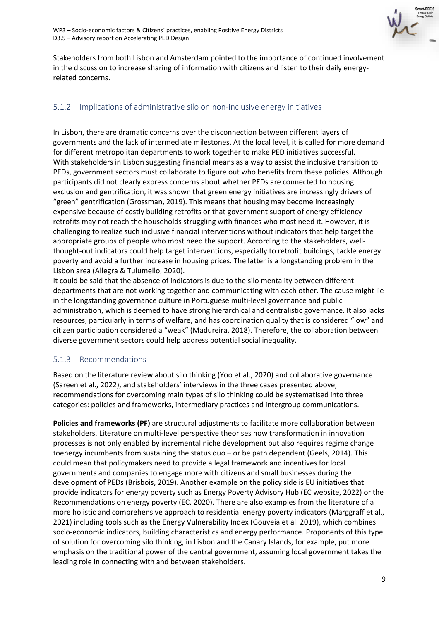

Stakeholders from both Lisbon and Amsterdam pointed to the importance of continued involvement in the discussion to increase sharing of information with citizens and listen to their daily energyrelated concerns.

#### <span id="page-13-0"></span>5.1.2 Implications of administrative silo on non-inclusive energy initiatives

In Lisbon, there are dramatic concerns over the disconnection between different layers of governments and the lack of intermediate milestones. At the local level, it is called for more demand for different metropolitan departments to work together to make PED initiatives successful. With stakeholders in Lisbon suggesting financial means as a way to assist the inclusive transition to PEDs, government sectors must collaborate to figure out who benefits from these policies. Although participants did not clearly express concerns about whether PEDs are connected to housing exclusion and gentrification, it was shown that green energy initiatives are increasingly drivers of "green" gentrification (Grossman, 2019). This means that housing may become increasingly expensive because of costly building retrofits or that government support of energy efficiency retrofits may not reach the households struggling with finances who most need it. However, it is challenging to realize such inclusive financial interventions without indicators that help target the appropriate groups of people who most need the support. According to the stakeholders, wellthought-out indicators could help target interventions, especially to retrofit buildings, tackle energy poverty and avoid a further increase in housing prices. The latter is a longstanding problem in the Lisbon area (Allegra & Tulumello, 2020).

It could be said that the absence of indicators is due to the silo mentality between different departments that are not working together and communicating with each other. The cause might lie in the longstanding governance culture in Portuguese multi-level governance and public administration, which is deemed to have strong hierarchical and centralistic governance. It also lacks resources, particularly in terms of welfare, and has coordination quality that is considered "low" and citizen participation considered a "weak" (Madureira, 2018). Therefore, the collaboration between diverse government sectors could help address potential social inequality.

#### <span id="page-13-1"></span>5.1.3 Recommendations

Based on the literature review about silo thinking (Yoo et al., 2020) and collaborative governance (Sareen et al., 2022), and stakeholders' interviews in the three cases presented above, recommendations for overcoming main types of silo thinking could be systematised into three categories: policies and frameworks, intermediary practices and intergroup communications.

**Policies and frameworks (PF)** are structural adjustments to facilitate more collaboration between stakeholders. Literature on multi-level perspective theorises how transformation in innovation processes is not only enabled by incremental niche development but also requires regime change toenergy incumbents from sustaining the status quo - or be path dependent (Geels, 2014). This could mean that policymakers need to provide a legal framework and incentives for local governments and companies to engage more with citizens and small businesses during the development of PEDs (Brisbois, 2019). Another example on the policy side is EU initiatives that provide indicators for energy poverty such as Energy Poverty Advisory Hub (EC website, 2022) or the Recommendations on energy poverty (EC. 2020). There are also examples from the literature of a more holistic and comprehensive approach to residential energy poverty indicators (Marggraff et al., 2021) including tools such as the Energy Vulnerability Index (Gouveia et al. 2019), which combines socio-economic indicators, building characteristics and energy performance. Proponents of this type of solution for overcoming silo thinking, in Lisbon and the Canary Islands, for example, put more emphasis on the traditional power of the central government, assuming local government takes the leading role in connecting with and between stakeholders.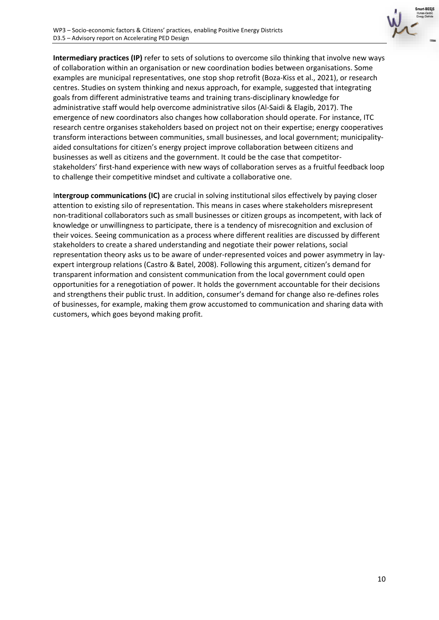

**Intermediary practices (IP)** refer to sets of solutions to overcome silo thinking that involve new ways of collaboration within an organisation or new coordination bodies between organisations. Some examples are municipal representatives, one stop shop retrofit (Boza-Kiss et al., 2021), or research centres. Studies on system thinking and nexus approach, for example, suggested that integrating goals from different administrative teams and training trans-disciplinary knowledge for administrative staff would help overcome administrative silos (Al-Saidi & Elagib, 2017). The emergence of new coordinators also changes how collaboration should operate. For instance, ITC research centre organises stakeholders based on project not on their expertise; energy cooperatives transform interactions between communities, small businesses, and local government; municipalityaided consultations for citizen's energy project improve collaboration between citizens and businesses as well as citizens and the government. It could be the case that competitorstakeholders' first-hand experience with new ways of collaboration serves as a fruitful feedback loop to challenge their competitive mindset and cultivate a collaborative one.

I**ntergroup communications (IC)** are crucial in solving institutional silos effectively by paying closer attention to existing silo of representation. This means in cases where stakeholders misrepresent non-traditional collaborators such as small businesses or citizen groups as incompetent, with lack of knowledge or unwillingness to participate, there is a tendency of misrecognition and exclusion of their voices. Seeing communication as a process where different realities are discussed by different stakeholders to create a shared understanding and negotiate their power relations, social representation theory asks us to be aware of under-represented voices and power asymmetry in layexpert intergroup relations (Castro & Batel, 2008). Following this argument, citizen's demand for transparent information and consistent communication from the local government could open opportunities for a renegotiation of power. It holds the government accountable for their decisions and strengthens their public trust. In addition, consumer's demand for change also re-defines roles of businesses, for example, making them grow accustomed to communication and sharing data with customers, which goes beyond making profit.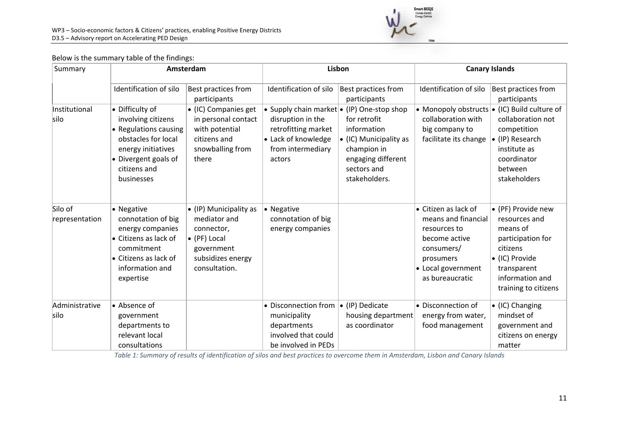

#### Below is the summary table of the findings:

| Summary                   | Amsterdam                                                                                                                                                         |                                                                                                                          | Lisbon                                                                                                                                               |                                                                                                                            | <b>Canary Islands</b>                                                                                                                            |                                                                                                                                                                       |
|---------------------------|-------------------------------------------------------------------------------------------------------------------------------------------------------------------|--------------------------------------------------------------------------------------------------------------------------|------------------------------------------------------------------------------------------------------------------------------------------------------|----------------------------------------------------------------------------------------------------------------------------|--------------------------------------------------------------------------------------------------------------------------------------------------|-----------------------------------------------------------------------------------------------------------------------------------------------------------------------|
|                           | Identification of silo                                                                                                                                            | Best practices from<br>participants                                                                                      | Identification of silo                                                                                                                               | Best practices from<br>participants                                                                                        | Identification of silo                                                                                                                           | Best practices from<br>participants                                                                                                                                   |
| Institutional<br>silo     | • Difficulty of<br>involving citizens<br>• Regulations causing<br>obstacles for local<br>energy initiatives<br>• Divergent goals of<br>citizens and<br>businesses | • (IC) Companies get<br>in personal contact<br>with potential<br>citizens and<br>snowballing from<br>there               | • Supply chain market $\bullet$ (IP) One-stop shop<br>disruption in the<br>retrofitting market<br>• Lack of knowledge<br>from intermediary<br>actors | for retrofit<br>information<br>• (IC) Municipality as<br>champion in<br>engaging different<br>sectors and<br>stakeholders. | collaboration with<br>big company to<br>facilitate its change                                                                                    | • Monopoly obstructs $\bullet$ (IC) Build culture of<br>collaboration not<br>competition<br>• (IP) Research<br>institute as<br>coordinator<br>between<br>stakeholders |
| Silo of<br>representation | • Negative<br>connotation of big<br>energy companies<br>• Citizens as lack of<br>commitment<br>• Citizens as lack of<br>information and<br>expertise              | • (IP) Municipality as<br>mediator and<br>connector,<br>• (PF) Local<br>government<br>subsidizes energy<br>consultation. | • Negative<br>connotation of big<br>energy companies                                                                                                 |                                                                                                                            | • Citizen as lack of<br>means and financial<br>resources to<br>become active<br>consumers/<br>prosumers<br>• Local government<br>as bureaucratic | • (PF) Provide new<br>resources and<br>means of<br>participation for<br>citizens<br>• (IC) Provide<br>transparent<br>information and<br>training to citizens          |
| Administrative<br>silo    | • Absence of<br>government<br>departments to<br>relevant local<br>consultations                                                                                   |                                                                                                                          | • Disconnection from $ $<br>municipality<br>departments<br>involved that could<br>be involved in PEDs                                                | $\bullet$ (IP) Dedicate<br>housing department<br>as coordinator                                                            | • Disconnection of<br>energy from water,<br>food management                                                                                      | • (IC) Changing<br>mindset of<br>government and<br>citizens on energy<br>matter                                                                                       |

*Table 1: Summary of results of identification of silos and best practices to overcome them in Amsterdam, Lisbon and Canary Islands*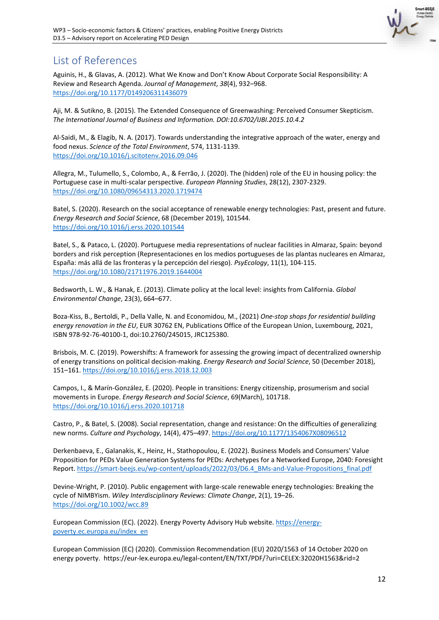

## <span id="page-16-0"></span>List of References

Aguinis, H., & Glavas, A. (2012). What We Know and Don't Know About Corporate Social Responsibility: A Review and Research Agenda. *Journal of Management*, *38*(4), 932–968. <https://doi.org/10.1177/0149206311436079>

Aji, M. & Sutikno, B. (2015). The Extended Consequence of Greenwashing: Perceived Consumer Skepticism. *The International Journal of Business and Information. DOI:10.6702/IJBI.2015.10.4.2* 

Al-Saidi, M., & Elagib, N. A. (2017). Towards understanding the integrative approach of the water, energy and food nexus. *Science of the Total Environment*, 574, 1131-1139. <https://doi.org/10.1016/j.scitotenv.2016.09.046>

Allegra, M., Tulumello, S., Colombo, A., & Ferrão, J. (2020). The (hidden) role of the EU in housing policy: the Portuguese case in multi-scalar perspective. *European Planning Studies*, 28(12), 2307-2329. <https://doi.org/10.1080/09654313.2020.1719474>

Batel, S. (2020). Research on the social acceptance of renewable energy technologies: Past, present and future. *Energy Research and Social Science*, 68 (December 2019), 101544. <https://doi.org/10.1016/j.erss.2020.101544>

Batel, S., & Pataco, L. (2020). Portuguese media representations of nuclear facilities in Almaraz, Spain: beyond borders and risk perception (Representaciones en los medios portugueses de las plantas nucleares en Almaraz, España: más allá de las fronteras y la percepción del riesgo). *PsyEcology*, 11(1), 104-115. <https://doi.org/10.1080/21711976.2019.1644004>

Bedsworth, L. W., & Hanak, E. (2013). Climate policy at the local level: insights from California. *Global Environmental Change*, 23(3), 664–677.

Boza-Kiss, B., Bertoldi, P., Della Valle, N. and Economidou, M., (2021) *One-stop shops for residential building energy renovation in the EU*, EUR 30762 EN, Publications Office of the European Union, Luxembourg, 2021, ISBN 978-92-76-40100-1, doi:10.2760/245015, JRC125380.

Brisbois, M. C. (2019). Powershifts: A framework for assessing the growing impact of decentralized ownership of energy transitions on political decision-making. *Energy Research and Social Science*, 50 (December 2018), 151–161.<https://doi.org/10.1016/j.erss.2018.12.003>

Campos, I., & Marín-González, E. (2020). People in transitions: Energy citizenship, prosumerism and social movements in Europe. *Energy Research and Social Science*, 69(March), 101718. <https://doi.org/10.1016/j.erss.2020.101718>

Castro, P., & Batel, S. (2008). Social representation, change and resistance: On the difficulties of generalizing new norms. *Culture and Psychology*, 14(4), 475–497[. https://doi.org/10.1177/1354067X08096512](https://doi.org/10.1177/1354067X08096512)

Derkenbaeva, E., Galanakis, K., Heinz, H., Stathopoulou, E. (2022). Business Models and Consumers' Value Proposition for PEDs Value Generation Systems for PEDs: Archetypes for a Networked Europe, 2040: Foresight Report[. https://smart-beejs.eu/wp-content/uploads/2022/03/D6.4\\_BMs-and-Value-Propositions\\_final.pdf](https://smart-beejs.eu/wp-content/uploads/2022/03/D6.4_BMs-and-Value-Propositions_final.pdf)

Devine-Wright, P. (2010). Public engagement with large-scale renewable energy technologies: Breaking the cycle of NIMBYism. *Wiley Interdisciplinary Reviews: Climate Change*, 2(1), 19–26. <https://doi.org/10.1002/wcc.89>

European Commission (EC). (2022). Energy Poverty Advisory Hub website. [https://energy](https://energy-poverty.ec.europa.eu/index_en)[poverty.ec.europa.eu/index\\_en](https://energy-poverty.ec.europa.eu/index_en)

European Commission (EC) (2020). Commission Recommendation (EU) 2020/1563 of 14 October 2020 on energy poverty. https://eur-lex.europa.eu/legal-content/EN/TXT/PDF/?uri=CELEX:32020H1563&rid=2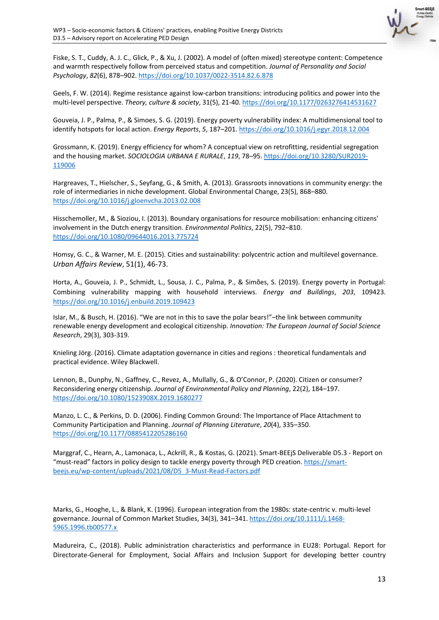

Fiske, S. T., Cuddy, A. J. C., Glick, P., & Xu, J. (2002). A model of (often mixed) stereotype content: Competence and warmth respectively follow from perceived status and competition. *Journal of Personality and Social Psychology*, *82*(6), 878–902.<https://doi.org/10.1037/0022-3514.82.6.878>

Geels, F. W. (2014). Regime resistance against low-carbon transitions: introducing politics and power into the multi-level perspective. *Theory, culture & society*, 31(5), 21-40.<https://doi.org/10.1177/0263276414531627>

Gouveia, J. P., Palma, P., & Simoes, S. G. (2019). Energy poverty vulnerability index: A multidimensional tool to identify hotspots for local action. *Energy Reports*, *5*, 187–201[. https://doi.org/10.1016/j.egyr.2018.12.004](https://doi.org/10.1016/j.egyr.2018.12.004)

Grossmann, K. (2019). Energy efficiency for whom? A conceptual view on retrofitting, residential segregation and the housing market. *SOCIOLOGIA URBANA E RURALE*, *119*, 78–95. [https://doi.org/10.3280/SUR2019-](https://doi.org/10.3280/SUR2019-119006) [119006](https://doi.org/10.3280/SUR2019-119006)

Hargreaves, T., Hielscher, S., Seyfang, G., & Smith, A. (2013). Grassroots innovations in community energy: the role of intermediaries in niche development. Global Environmental Change, 23(5), 868–880. <https://doi.org/10.1016/j.gloenvcha.2013.02.008>

Hisschemoller, M., & Sioziou, I. (2013). Boundary organisations for resource mobilisation: enhancing citizens' involvement in the Dutch energy transition. *Environmental Politics*, 22(5), 792–810. <https://doi.org/10.1080/09644016.2013.775724>

Homsy, G. C., & Warner, M. E. (2015). Cities and sustainability: polycentric action and multilevel governance. *Urban Affairs Review*, 51(1), 46-73.

Horta, A., Gouveia, J. P., Schmidt, L., Sousa, J. C., Palma, P., & Simões, S. (2019). Energy poverty in Portugal: Combining vulnerability mapping with household interviews. *Energy and Buildings*, *203*, 109423. <https://doi.org/10.1016/j.enbuild.2019.109423>

Islar, M., & Busch, H. (2016). "We are not in this to save the polar bears!"–the link between community renewable energy development and ecological citizenship. *Innovation: The European Journal of Social Science Research*, 29(3), 303-319.

Knieling Jörg. (2016). Climate adaptation governance in cities and regions : theoretical fundamentals and practical evidence. Wiley Blackwell.

Lennon, B., Dunphy, N., Gaffney, C., Revez, A., Mullally, G., & O'Connor, P. (2020). Citizen or consumer? Reconsidering energy citizenship. *Journal of Environmental Policy and Planning*, 22(2), 184–197. <https://doi.org/10.1080/1523908X.2019.1680277>

Manzo, L. C., & Perkins, D. D. (2006). Finding Common Ground: The Importance of Place Attachment to Community Participation and Planning. *Journal of Planning Literature*, *20*(4), 335–350. <https://doi.org/10.1177/0885412205286160>

Marggraf, C., Hearn, A., Lamonaca, L., Ackrill, R., & Kostas, G. (2021). Smart-BEEjS Deliverable D5.3 - Report on "must-read" factors in policy design to tackle energy poverty through PED creation[. https://smart](https://smart-beejs.eu/wp-content/uploads/2021/08/D5_3-Must-Read-Factors.pdf)[beejs.eu/wp-content/uploads/2021/08/D5\\_3-Must-Read-Factors.pdf](https://smart-beejs.eu/wp-content/uploads/2021/08/D5_3-Must-Read-Factors.pdf)

Marks, G., Hooghe, L., & Blank, K. (1996). European integration from the 1980s: state-centric v. multi-level governance. Journal of Common Market Studies, 34(3), 341–341[. https://doi.org/10.1111/j.1468-](https://doi.org/10.1111/j.1468-5965.1996.tb00577.x) [5965.1996.tb00577.x](https://doi.org/10.1111/j.1468-5965.1996.tb00577.x) 

Madureira, C., (2018). Public administration characteristics and performance in EU28: Portugal. Report for Directorate-General for Employment, Social Affairs and Inclusion Support for developing better country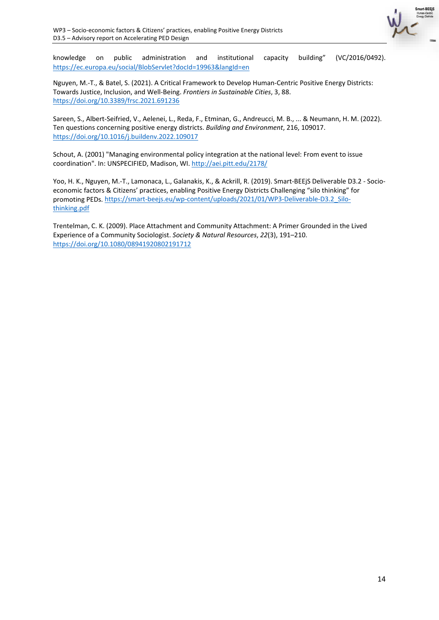

knowledge on public administration and institutional capacity building" (VC/2016/0492). <https://ec.europa.eu/social/BlobServlet?docId=19963&langId=en>

Nguyen, M.-T., & Batel, S. (2021). A Critical Framework to Develop Human-Centric Positive Energy Districts: Towards Justice, Inclusion, and Well-Being. *Frontiers in Sustainable Cities*, 3, 88. <https://doi.org/10.3389/frsc.2021.691236>

Sareen, S., Albert-Seifried, V., Aelenei, L., Reda, F., Etminan, G., Andreucci, M. B., ... & Neumann, H. M. (2022). Ten questions concerning positive energy districts. *Building and Environment*, 216, 109017. <https://doi.org/10.1016/j.buildenv.2022.109017>

Schout, A. (2001) "Managing environmental policy integration at the national level: From event to issue coordination". In: UNSPECIFIED, Madison, WI.<http://aei.pitt.edu/2178/>

Yoo, H. K., Nguyen, M.-T., Lamonaca, L., Galanakis, K., & Ackrill, R. (2019). Smart-BEEjS Deliverable D3.2 - Socioeconomic factors & Citizens' practices, enabling Positive Energy Districts Challenging "silo thinking" for promoting PEDs. [https://smart-beejs.eu/wp-content/uploads/2021/01/WP3-Deliverable-D3.2\\_Silo](https://smart-beejs.eu/wp-content/uploads/2021/01/WP3-Deliverable-D3.2_Silo-thinking.pdf)[thinking.pdf](https://smart-beejs.eu/wp-content/uploads/2021/01/WP3-Deliverable-D3.2_Silo-thinking.pdf)

Trentelman, C. K. (2009). Place Attachment and Community Attachment: A Primer Grounded in the Lived Experience of a Community Sociologist. *Society & Natural Resources*, *22*(3), 191–210. <https://doi.org/10.1080/08941920802191712>